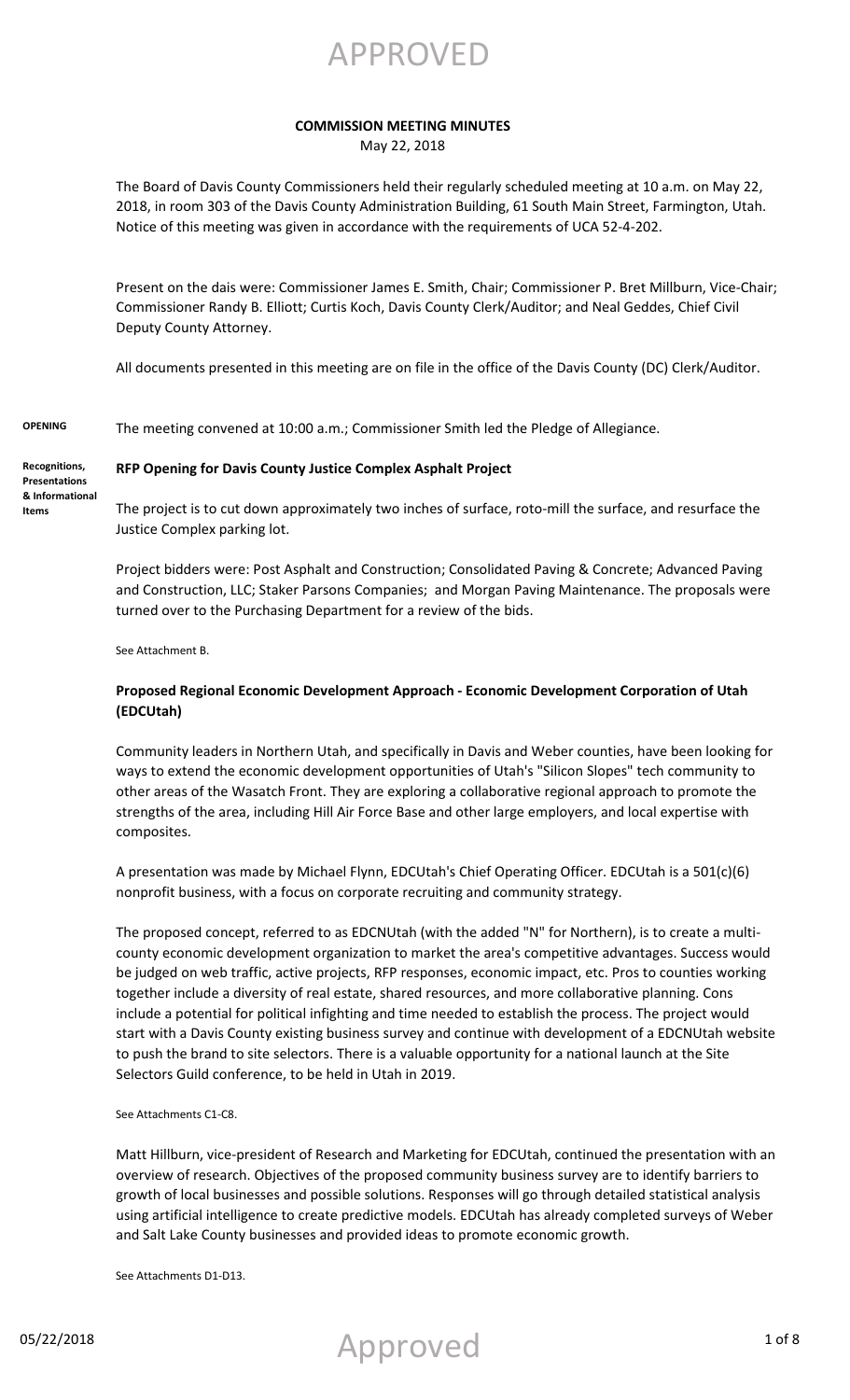APPROVED

### **COMMISSION MEETING MINUTES**

May 22, 2018

The Board of Davis County Commissioners held their regularly scheduled meeting at 10 a.m. on May 22, 2018, in room 303 of the Davis County Administration Building, 61 South Main Street, Farmington, Utah. Notice of this meeting was given in accordance with the requirements of UCA 52-4-202.

Present on the dais were: Commissioner James E. Smith, Chair; Commissioner P. Bret Millburn, Vice-Chair; Commissioner Randy B. Elliott; Curtis Koch, Davis County Clerk/Auditor; and Neal Geddes, Chief Civil Deputy County Attorney.

All documents presented in this meeting are on file in the office of the Davis County (DC) Clerk/Auditor.

**OPENING** The meeting convened at 10:00 a.m.; Commissioner Smith led the Pledge of Allegiance.

**Recognitions, Presentations & Informational Items**

#### **RFP Opening for Davis County Justice Complex Asphalt Project**

The project is to cut down approximately two inches of surface, roto-mill the surface, and resurface the Justice Complex parking lot.

Project bidders were: Post Asphalt and Construction; Consolidated Paving & Concrete; Advanced Paving and Construction, LLC; Staker Parsons Companies; and Morgan Paving Maintenance. The proposals were turned over to the Purchasing Department for a review of the bids.

See Attachment B.

### **Proposed Regional Economic Development Approach - Economic Development Corporation of Utah (EDCUtah)**

Community leaders in Northern Utah, and specifically in Davis and Weber counties, have been looking for ways to extend the economic development opportunities of Utah's "Silicon Slopes" tech community to other areas of the Wasatch Front. They are exploring a collaborative regional approach to promote the strengths of the area, including Hill Air Force Base and other large employers, and local expertise with composites.

A presentation was made by Michael Flynn, EDCUtah's Chief Operating Officer. EDCUtah is a 501(c)(6) nonprofit business, with a focus on corporate recruiting and community strategy.

The proposed concept, referred to as EDCNUtah (with the added "N" for Northern), is to create a multicounty economic development organization to market the area's competitive advantages. Success would be judged on web traffic, active projects, RFP responses, economic impact, etc. Pros to counties working together include a diversity of real estate, shared resources, and more collaborative planning. Cons include a potential for political infighting and time needed to establish the process. The project would start with a Davis County existing business survey and continue with development of a EDCNUtah website to push the brand to site selectors. There is a valuable opportunity for a national launch at the Site Selectors Guild conference, to be held in Utah in 2019.

See Attachments C1-C8.

Matt Hillburn, vice-president of Research and Marketing for EDCUtah, continued the presentation with an overview of research. Objectives of the proposed community business survey are to identify barriers to growth of local businesses and possible solutions. Responses will go through detailed statistical analysis using artificial intelligence to create predictive models. EDCUtah has already completed surveys of Weber and Salt Lake County businesses and provided ideas to promote economic growth.

See Attachments D1-D13.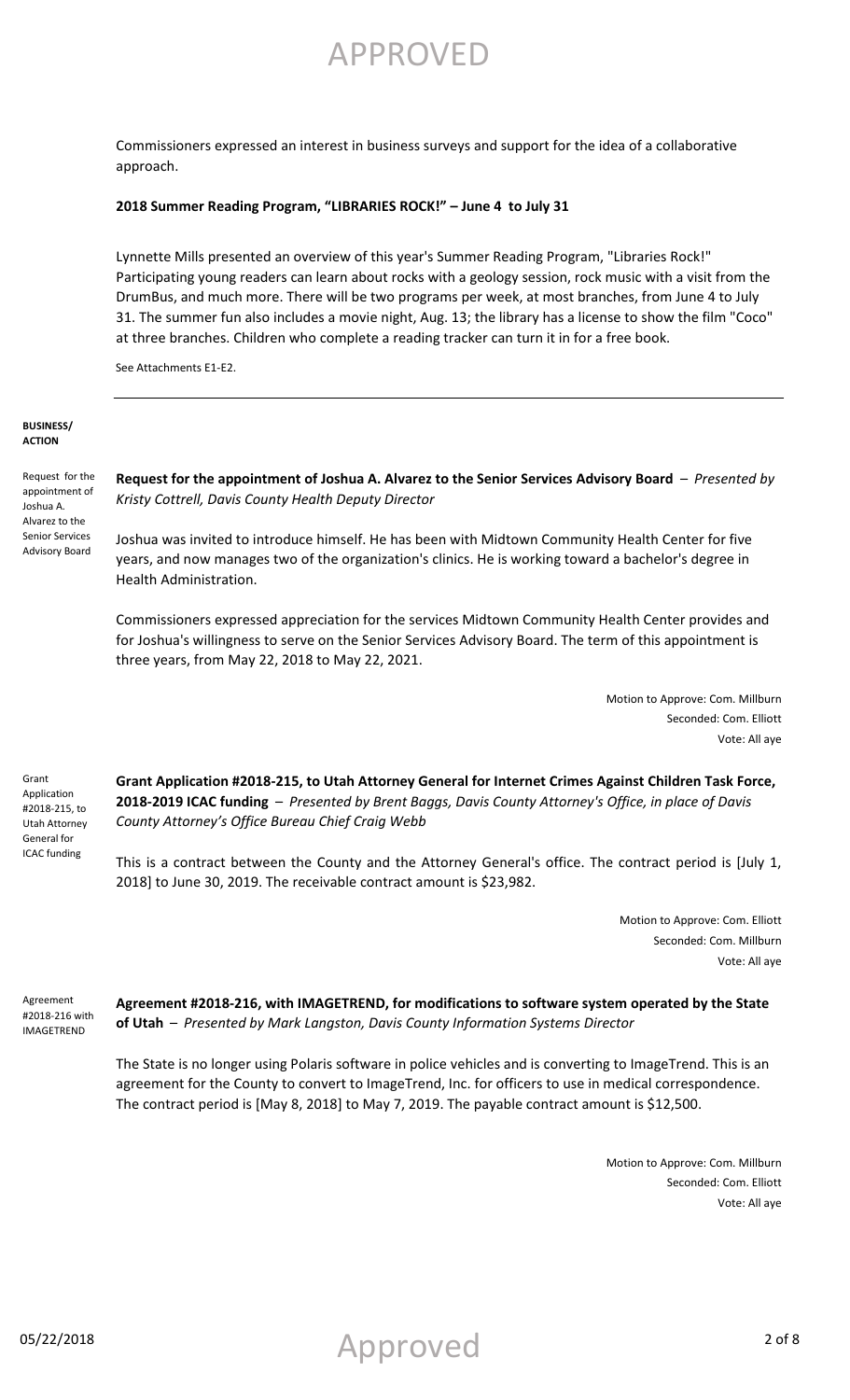Commissioners expressed an interest in business surveys and support for the idea of a collaborative approach.

#### **2018 Summer Reading Program, "LIBRARIES ROCK!" – June 4 to July 31**

Lynnette Mills presented an overview of this year's Summer Reading Program, "Libraries Rock!" Participating young readers can learn about rocks with a geology session, rock music with a visit from the DrumBus, and much more. There will be two programs per week, at most branches, from June 4 to July 31. The summer fun also includes a movie night, Aug. 13; the library has a license to show the film "Coco" at three branches. Children who complete a reading tracker can turn it in for a free book.

See Attachments E1-E2.

#### **BUSINESS/ ACTION**

Request for the appointment of Joshua A. Alvarez to the Senior Services Advisory Board

**Request for the appointment of Joshua A. Alvarez to the Senior Services Advisory Board** – *Presented by Kristy Cottrell, Davis County Health Deputy Director*

Joshua was invited to introduce himself. He has been with Midtown Community Health Center for five years, and now manages two of the organization's clinics. He is working toward a bachelor's degree in Health Administration.

Commissioners expressed appreciation for the services Midtown Community Health Center provides and for Joshua's willingness to serve on the Senior Services Advisory Board. The term of this appointment is three years, from May 22, 2018 to May 22, 2021.

> Motion to Approve: Com. Millburn Seconded: Com. Elliott Vote: All aye

Grant Application #2018-215, to Utah Attorney General for ICAC funding

**Grant Application #2018-215, to Utah Attorney General for Internet Crimes Against Children Task Force, 2018-2019 ICAC funding** – *Presented by Brent Baggs, Davis County Attorney's Office, in place of Davis County Attorney's Office Bureau Chief Craig Webb*

This is a contract between the County and the Attorney General's office. The contract period is [July 1, 2018] to June 30, 2019. The receivable contract amount is \$23,982.

> Motion to Approve: Com. Elliott Seconded: Com. Millburn Vote: All aye

Agreement #2018-216 with IMAGETREND

**Agreement #2018-216, with IMAGETREND, for modifications to software system operated by the State of Utah** – *Presented by Mark Langston, Davis County Information Systems Director*

The State is no longer using Polaris software in police vehicles and is converting to ImageTrend. This is an agreement for the County to convert to ImageTrend, Inc. for officers to use in medical correspondence. The contract period is [May 8, 2018] to May 7, 2019. The payable contract amount is \$12,500.

> Motion to Approve: Com. Millburn Seconded: Com. Elliott Vote: All aye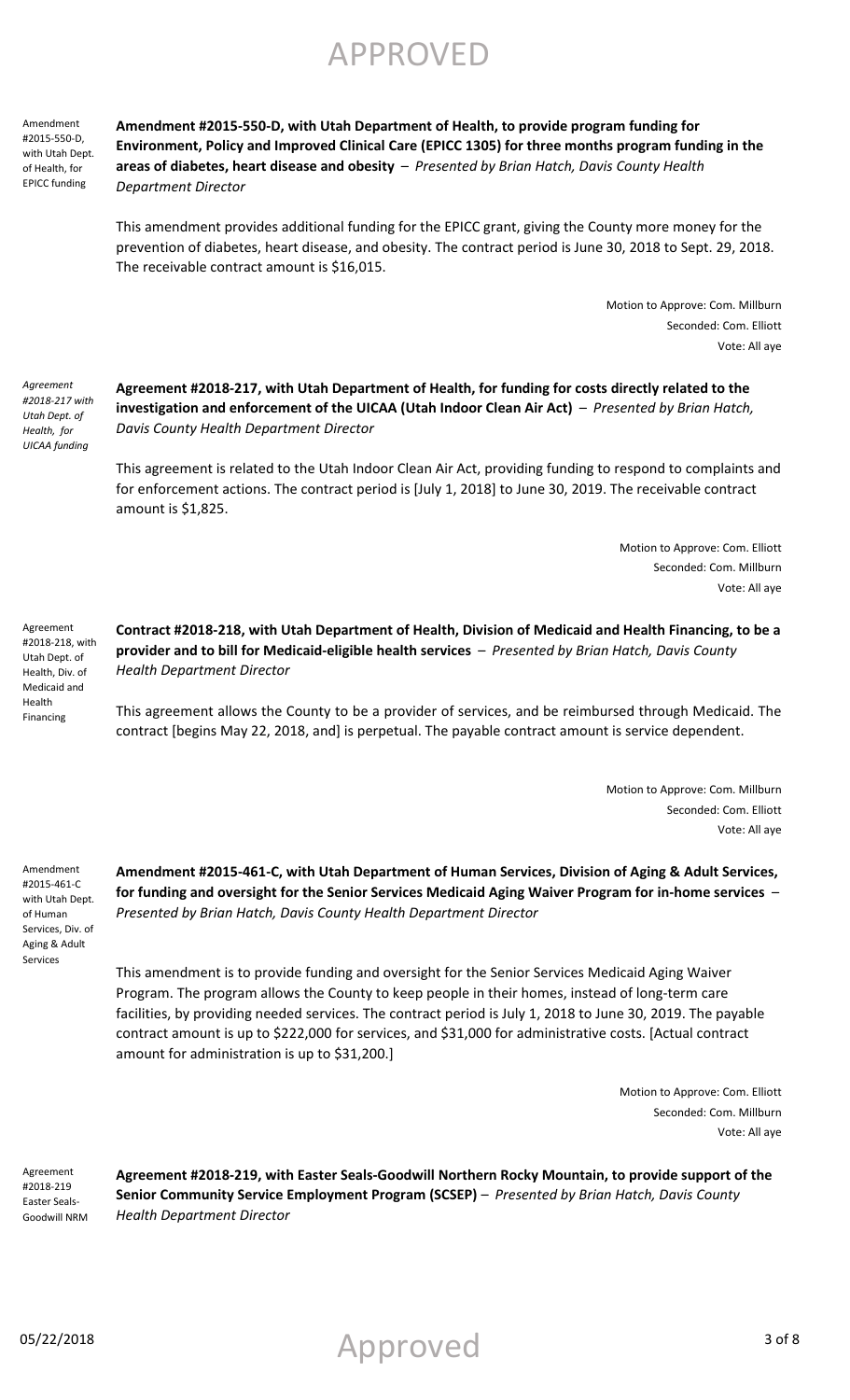Amendment #2015-550-D, with Utah Dept. of Health, for EPICC funding

**Amendment #2015-550-D, with Utah Department of Health, to provide program funding for Environment, Policy and Improved Clinical Care (EPICC 1305) for three months program funding in the areas of diabetes, heart disease and obesity** – *Presented by Brian Hatch, Davis County Health Department Director*

This amendment provides additional funding for the EPICC grant, giving the County more money for the prevention of diabetes, heart disease, and obesity. The contract period is June 30, 2018 to Sept. 29, 2018. The receivable contract amount is \$16,015.

> Motion to Approve: Com. Millburn Seconded: Com. Elliott Vote: All aye

*Agreement #2018-217 with Utah Dept. of Health, for UICAA funding*

**Agreement #2018-217, with Utah Department of Health, for funding for costs directly related to the investigation and enforcement of the UICAA (Utah Indoor Clean Air Act)** – *Presented by Brian Hatch, Davis County Health Department Director*

This agreement is related to the Utah Indoor Clean Air Act, providing funding to respond to complaints and for enforcement actions. The contract period is [July 1, 2018] to June 30, 2019. The receivable contract amount is \$1,825.

> Motion to Approve: Com. Elliott Seconded: Com. Millburn Vote: All aye

Agreement #2018-218, with Utah Dept. of Health, Div. of Medicaid and Health Financing

**Contract #2018-218, with Utah Department of Health, Division of Medicaid and Health Financing, to be a provider and to bill for Medicaid-eligible health services** – *Presented by Brian Hatch, Davis County Health Department Director*

This agreement allows the County to be a provider of services, and be reimbursed through Medicaid. The contract [begins May 22, 2018, and] is perpetual. The payable contract amount is service dependent.

> Motion to Approve: Com. Millburn Seconded: Com. Elliott Vote: All aye

Amendment #2015-461-C with Utah Dept. of Human Services, Div. of Aging & Adult Services

**Amendment #2015-461-C, with Utah Department of Human Services, Division of Aging & Adult Services, for funding and oversight for the Senior Services Medicaid Aging Waiver Program for in-home services** – *Presented by Brian Hatch, Davis County Health Department Director*

This amendment is to provide funding and oversight for the Senior Services Medicaid Aging Waiver Program. The program allows the County to keep people in their homes, instead of long-term care facilities, by providing needed services. The contract period is July 1, 2018 to June 30, 2019. The payable contract amount is up to \$222,000 for services, and \$31,000 for administrative costs. [Actual contract amount for administration is up to \$31,200.]

> Motion to Approve: Com. Elliott Seconded: Com. Millburn Vote: All aye

Agreement #2018-219 Easter Seals-Goodwill NRM **Agreement #2018-219, with Easter Seals-Goodwill Northern Rocky Mountain, to provide support of the Senior Community Service Employment Program (SCSEP)** – *Presented by Brian Hatch, Davis County Health Department Director*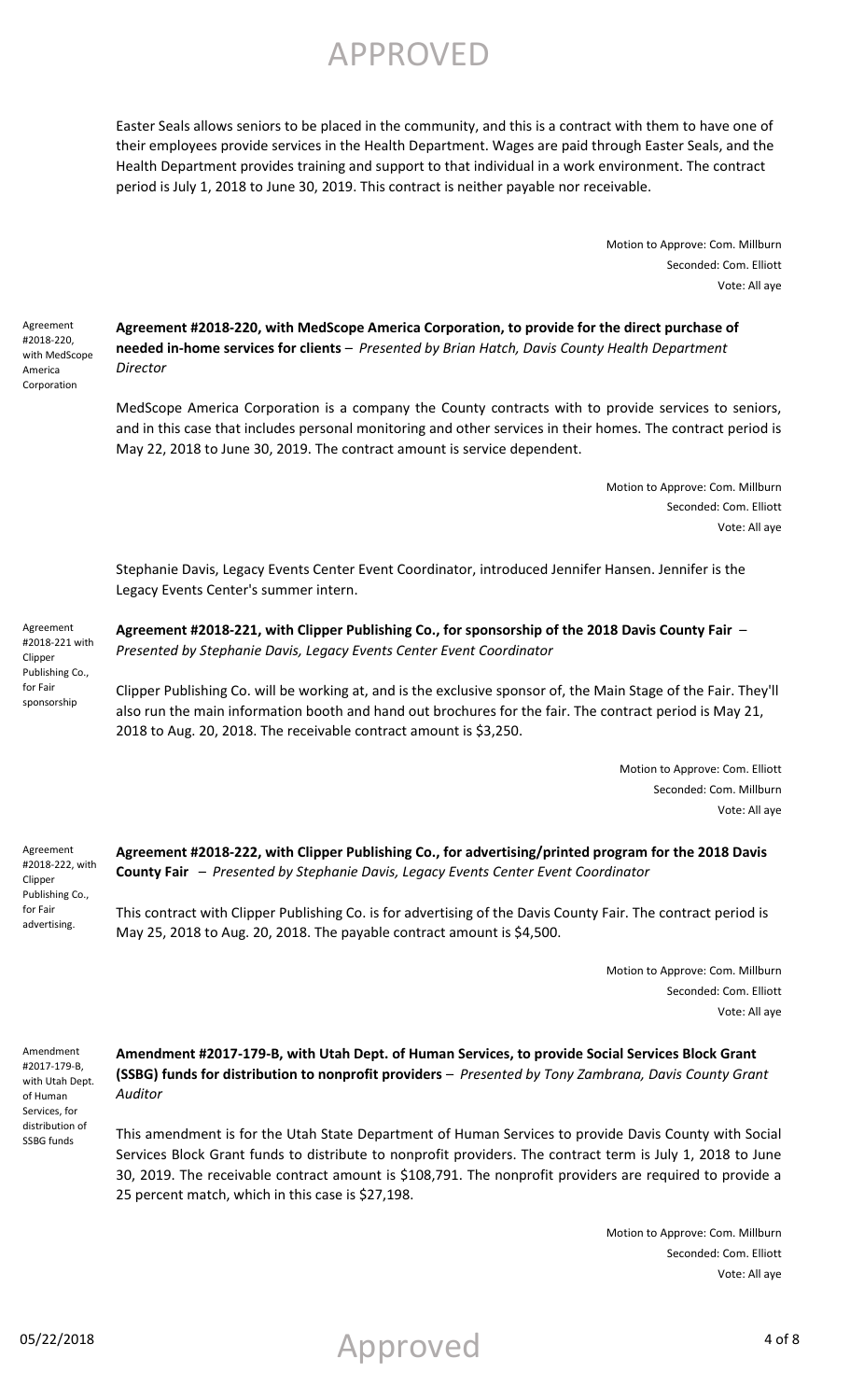Easter Seals allows seniors to be placed in the community, and this is a contract with them to have one of their employees provide services in the Health Department. Wages are paid through Easter Seals, and the Health Department provides training and support to that individual in a work environment. The contract period is July 1, 2018 to June 30, 2019. This contract is neither payable nor receivable.

> Motion to Approve: Com. Millburn Seconded: Com. Elliott Vote: All aye

Agreement #2018-220, with MedScope America Corporation

**Agreement #2018-220, with MedScope America Corporation, to provide for the direct purchase of needed in-home services for clients** – *Presented by Brian Hatch, Davis County Health Department Director*

MedScope America Corporation is a company the County contracts with to provide services to seniors, and in this case that includes personal monitoring and other services in their homes. The contract period is May 22, 2018 to June 30, 2019. The contract amount is service dependent.

> Motion to Approve: Com. Millburn Seconded: Com. Elliott Vote: All aye

Stephanie Davis, Legacy Events Center Event Coordinator, introduced Jennifer Hansen. Jennifer is the Legacy Events Center's summer intern.

Agreement #2018-221 with Clipper Publishing Co., for Fair sponsorship

**Agreement #2018-221, with Clipper Publishing Co., for sponsorship of the 2018 Davis County Fair** – *Presented by Stephanie Davis, Legacy Events Center Event Coordinator*

Clipper Publishing Co. will be working at, and is the exclusive sponsor of, the Main Stage of the Fair. They'll also run the main information booth and hand out brochures for the fair. The contract period is May 21, 2018 to Aug. 20, 2018. The receivable contract amount is \$3,250.

> Motion to Approve: Com. Elliott Seconded: Com. Millburn Vote: All aye

Agreement #2018-222, with Clipper Publishing Co., for Fair advertising.

**Agreement #2018-222, with Clipper Publishing Co., for advertising/printed program for the 2018 Davis County Fair** – *Presented by Stephanie Davis, Legacy Events Center Event Coordinator*

This contract with Clipper Publishing Co. is for advertising of the Davis County Fair. The contract period is May 25, 2018 to Aug. 20, 2018. The payable contract amount is \$4,500.

> Motion to Approve: Com. Millburn Seconded: Com. Elliott Vote: All aye

Amendment #2017-179-B, with Utah Dept. of Human Services, for distribution of SSBG funds

**Amendment #2017-179-B, with Utah Dept. of Human Services, to provide Social Services Block Grant (SSBG) funds for distribution to nonprofit providers** – *Presented by Tony Zambrana, Davis County Grant Auditor*

This amendment is for the Utah State Department of Human Services to provide Davis County with Social Services Block Grant funds to distribute to nonprofit providers. The contract term is July 1, 2018 to June 30, 2019. The receivable contract amount is \$108,791. The nonprofit providers are required to provide a 25 percent match, which in this case is \$27,198.

> Motion to Approve: Com. Millburn Seconded: Com. Elliott Vote: All aye

05/22/2018 4 of 8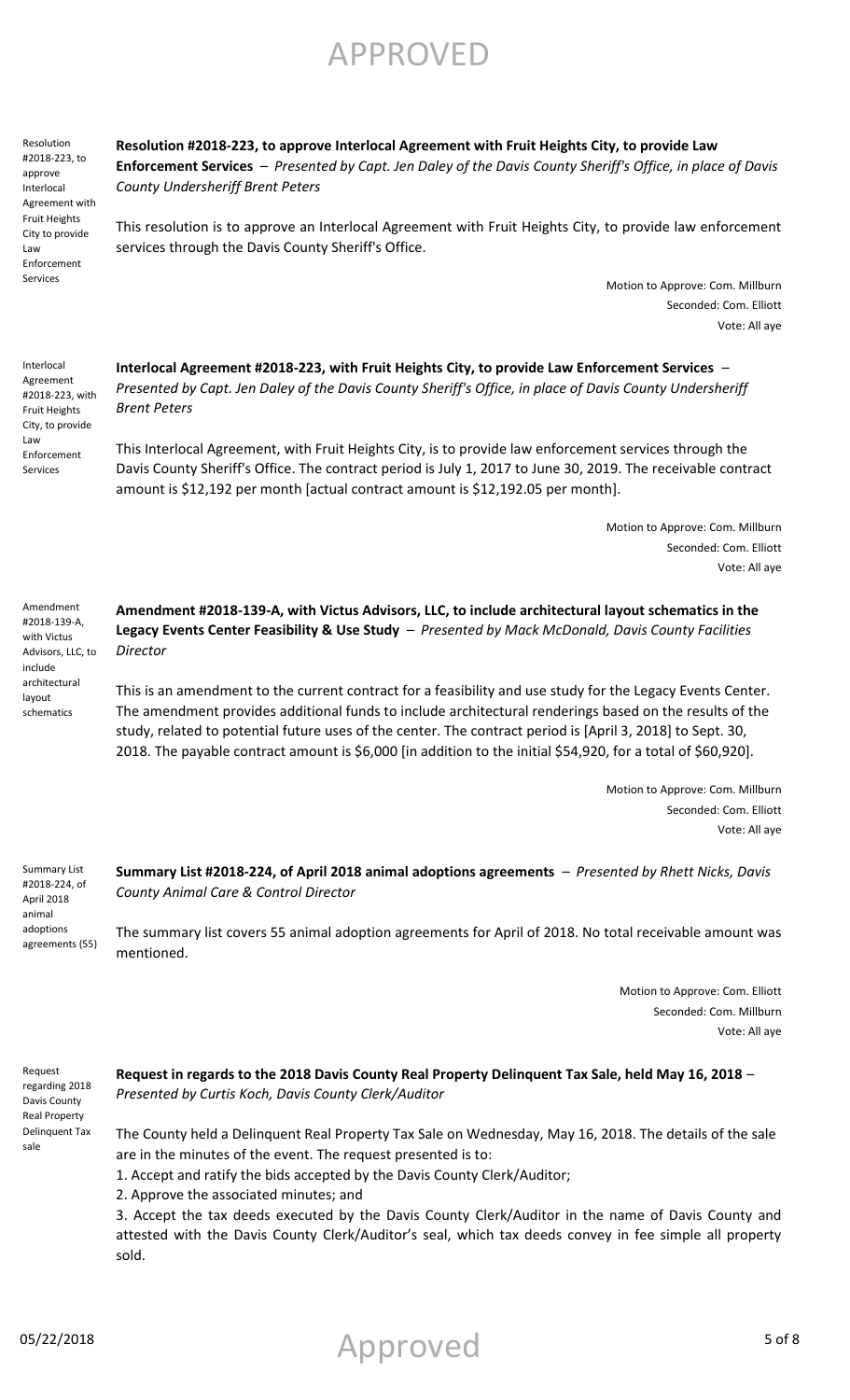APPROVED

Resolution #2018-223, to approve Interlocal Agreement with Fruit Heights City to provide Law Enforcement Services

**Resolution #2018-223, to approve Interlocal Agreement with Fruit Heights City, to provide Law Enforcement Services** – *Presented by Capt. Jen Daley of the Davis County Sheriff's Office, in place of Davis County Undersheriff Brent Peters*

This resolution is to approve an Interlocal Agreement with Fruit Heights City, to provide law enforcement services through the Davis County Sheriff's Office.

> Motion to Approve: Com. Millburn Seconded: Com. Elliott Vote: All aye

Interlocal Agreement #2018-223, with Fruit Heights City, to provide Law Enforcement Services

**Interlocal Agreement #2018-223, with Fruit Heights City, to provide Law Enforcement Services** – *Presented by Capt. Jen Daley of the Davis County Sheriff's Office, in place of Davis County Undersheriff Brent Peters*

This Interlocal Agreement, with Fruit Heights City, is to provide law enforcement services through the Davis County Sheriff's Office. The contract period is July 1, 2017 to June 30, 2019. The receivable contract amount is \$12,192 per month [actual contract amount is \$12,192.05 per month].

> Motion to Approve: Com. Millburn Seconded: Com. Elliott Vote: All aye

Amendment #2018-139-A, with Victus Advisors, LLC, to include architectural layout schematics

**Amendment #2018-139-A, with Victus Advisors, LLC, to include architectural layout schematics in the Legacy Events Center Feasibility & Use Study** – *Presented by Mack McDonald, Davis County Facilities Director*

This is an amendment to the current contract for a feasibility and use study for the Legacy Events Center. The amendment provides additional funds to include architectural renderings based on the results of the study, related to potential future uses of the center. The contract period is [April 3, 2018] to Sept. 30, 2018. The payable contract amount is \$6,000 [in addition to the initial \$54,920, for a total of \$60,920].

> Motion to Approve: Com. Millburn Seconded: Com. Elliott Vote: All aye

Summary List #2018-224, of April 2018 animal adoptions agreements (55) **Summary List #2018-224, of April 2018 animal adoptions agreements** – *Presented by Rhett Nicks, Davis County Animal Care & Control Director*

The summary list covers 55 animal adoption agreements for April of 2018. No total receivable amount was mentioned.

> Motion to Approve: Com. Elliott Seconded: Com. Millburn Vote: All aye

Request regarding 2018 Davis County Real Property Delinquent Tax sale

### **Request in regards to the 2018 Davis County Real Property Delinquent Tax Sale, held May 16, 2018** *– Presented by Curtis Koch, Davis County Clerk/Auditor*

The County held a Delinquent Real Property Tax Sale on Wednesday, May 16, 2018. The details of the sale are in the minutes of the event. The request presented is to:

1. Accept and ratify the bids accepted by the Davis County Clerk/Auditor;

2. Approve the associated minutes; and

3. Accept the tax deeds executed by the Davis County Clerk/Auditor in the name of Davis County and attested with the Davis County Clerk/Auditor's seal, which tax deeds convey in fee simple all property sold.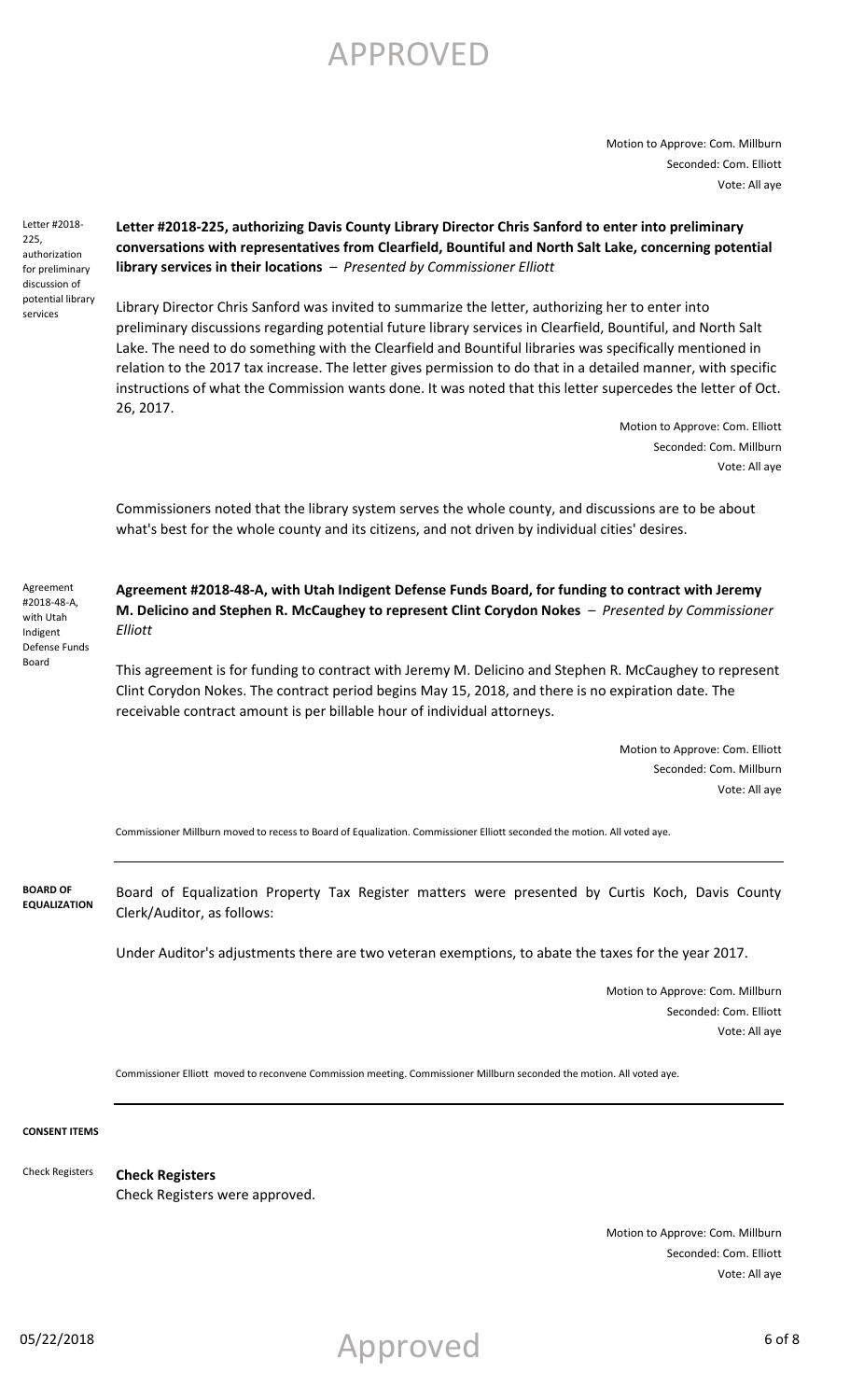Motion to Approve: Com. Millburn Seconded: Com. Elliott Vote: All aye

Letter #2018- 225, authorization for preliminary discussion of potential library services

### **Letter #2018-225, authorizing Davis County Library Director Chris Sanford to enter into preliminary conversations with representatives from Clearfield, Bountiful and North Salt Lake, concerning potential library services in their locations** – *Presented by Commissioner Elliott*

Library Director Chris Sanford was invited to summarize the letter, authorizing her to enter into preliminary discussions regarding potential future library services in Clearfield, Bountiful, and North Salt Lake. The need to do something with the Clearfield and Bountiful libraries was specifically mentioned in relation to the 2017 tax increase. The letter gives permission to do that in a detailed manner, with specific instructions of what the Commission wants done. It was noted that this letter supercedes the letter of Oct. 26, 2017.

> Motion to Approve: Com. Elliott Seconded: Com. Millburn Vote: All aye

Commissioners noted that the library system serves the whole county, and discussions are to be about what's best for the whole county and its citizens, and not driven by individual cities' desires.

Agreement #2018-48-A, with Utah Indigent Defense Funds Board

**Agreement #2018-48-A, with Utah Indigent Defense Funds Board, for funding to contract with Jeremy M. Delicino and Stephen R. McCaughey to represent Clint Corydon Nokes** – *Presented by Commissioner Elliott*

This agreement is for funding to contract with Jeremy M. Delicino and Stephen R. McCaughey to represent Clint Corydon Nokes. The contract period begins May 15, 2018, and there is no expiration date. The receivable contract amount is per billable hour of individual attorneys.

> Motion to Approve: Com. Elliott Seconded: Com. Millburn Vote: All aye

Commissioner Millburn moved to recess to Board of Equalization. Commissioner Elliott seconded the motion. All voted aye.

Board of Equalization Property Tax Register matters were presented by Curtis Koch, Davis County Clerk/Auditor, as follows: **BOARD OF EQUALIZATION**

Under Auditor's adjustments there are two veteran exemptions, to abate the taxes for the year 2017.

Motion to Approve: Com. Millburn Seconded: Com. Elliott Vote: All aye

Commissioner Elliott moved to reconvene Commission meeting. Commissioner Millburn seconded the motion. All voted aye.

**CONSENT ITEMS**

Check Registers

**Check Registers** Check Registers were approved.

> Motion to Approve: Com. Millburn Seconded: Com. Elliott Vote: All aye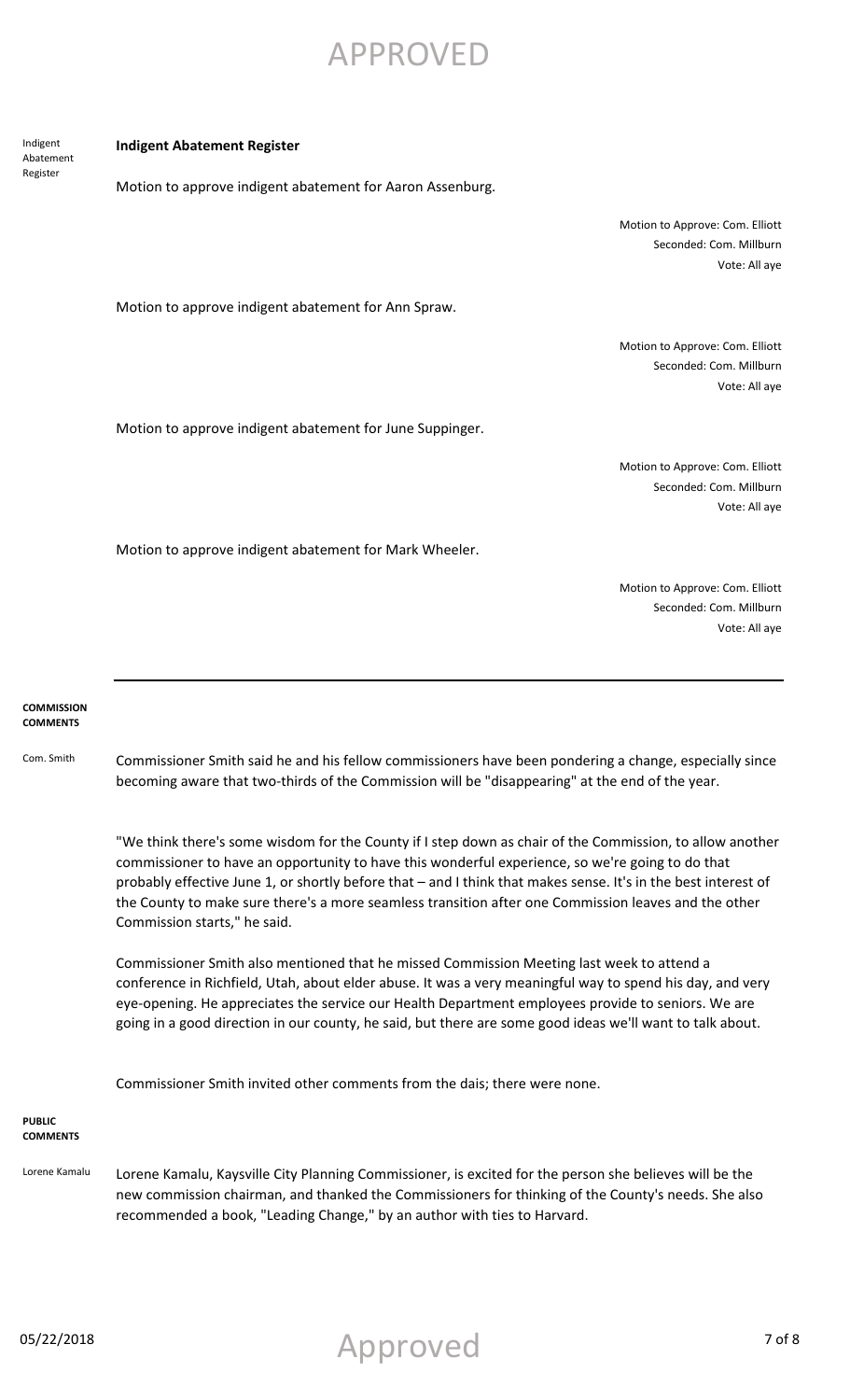Indigent Abatement Register

#### **Indigent Abatement Register**

Motion to approve indigent abatement for Aaron Assenburg.

Motion to Approve: Com. Elliott Seconded: Com. Millburn Vote: All aye

Motion to approve indigent abatement for Ann Spraw.

Motion to Approve: Com. Elliott Seconded: Com. Millburn Vote: All aye

Motion to approve indigent abatement for June Suppinger.

Motion to Approve: Com. Elliott Seconded: Com. Millburn Vote: All aye

Motion to approve indigent abatement for Mark Wheeler.

Motion to Approve: Com. Elliott Seconded: Com. Millburn Vote: All aye

#### **COMMISSION COMMENTS**

Com. Smith Commissioner Smith said he and his fellow commissioners have been pondering a change, especially since becoming aware that two-thirds of the Commission will be "disappearing" at the end of the year.

> "We think there's some wisdom for the County if I step down as chair of the Commission, to allow another commissioner to have an opportunity to have this wonderful experience, so we're going to do that probably effective June 1, or shortly before that – and I think that makes sense. It's in the best interest of the County to make sure there's a more seamless transition after one Commission leaves and the other Commission starts," he said.

Commissioner Smith also mentioned that he missed Commission Meeting last week to attend a conference in Richfield, Utah, about elder abuse. It was a very meaningful way to spend his day, and very eye-opening. He appreciates the service our Health Department employees provide to seniors. We are going in a good direction in our county, he said, but there are some good ideas we'll want to talk about.

Commissioner Smith invited other comments from the dais; there were none.

#### **PUBLIC COMMENTS**

Lorene Kamalu Lorene Kamalu, Kaysville City Planning Commissioner, is excited for the person she believes will be the new commission chairman, and thanked the Commissioners for thinking of the County's needs. She also recommended a book, "Leading Change," by an author with ties to Harvard.